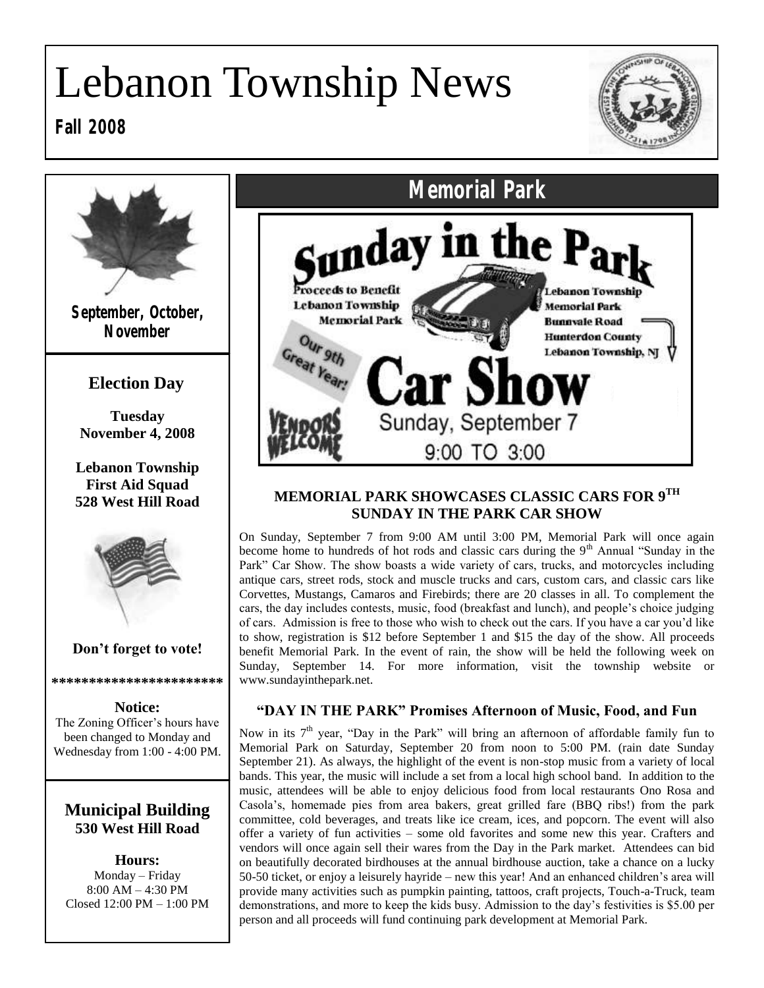# Lebanon Township News

**Fall 2008**



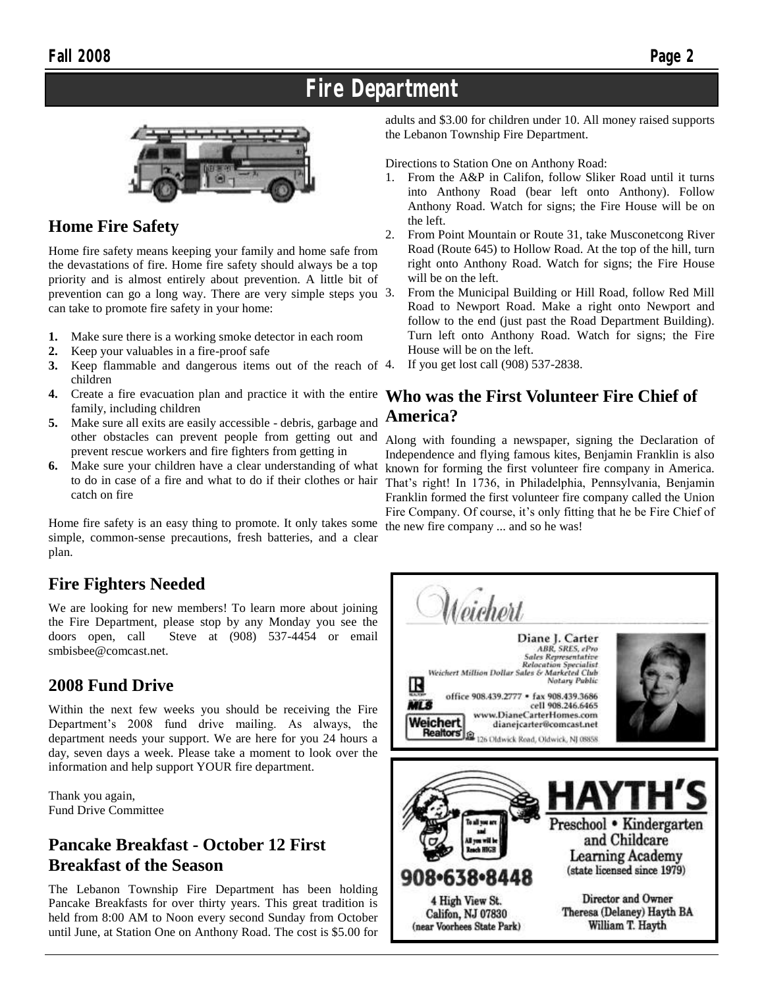### **Fire Department**



### **Home Fire Safety**

Home fire safety means keeping your family and home safe from the devastations of fire. Home fire safety should always be a top priority and is almost entirely about prevention. A little bit of prevention can go a long way. There are very simple steps you can take to promote fire safety in your home:

- **1.** Make sure there is a working smoke detector in each room
- **2.** Keep your valuables in a fire-proof safe
- **3.** Keep flammable and dangerous items out of the reach of 4. children
- **4.** Create a fire evacuation plan and practice it with the entire **Who was the First Volunteer Fire Chief of**  family, including children
- **5.** Make sure all exits are easily accessible debris, garbage and other obstacles can prevent people from getting out and prevent rescue workers and fire fighters from getting in
- **6.** Make sure your children have a clear understanding of what to do in case of a fire and what to do if their clothes or hair catch on fire

Home fire safety is an easy thing to promote. It only takes some simple, common-sense precautions, fresh batteries, and a clear plan.

### **Fire Fighters Needed**

We are looking for new members! To learn more about joining the Fire Department, please stop by any Monday you see the doors open, call Steve at (908) 537-4454 or email smbisbee@comcast.net.

### **2008 Fund Drive**

Within the next few weeks you should be receiving the Fire Department's 2008 fund drive mailing. As always, the department needs your support. We are here for you 24 hours a day, seven days a week. Please take a moment to look over the information and help support YOUR fire department.

Thank you again, Fund Drive Committee

### **Pancake Breakfast - October 12 First Breakfast of the Season**

The Lebanon Township Fire Department has been holding Pancake Breakfasts for over thirty years. This great tradition is held from 8:00 AM to Noon every second Sunday from October until June, at Station One on Anthony Road. The cost is \$5.00 for

adults and \$3.00 for children under 10. All money raised supports the Lebanon Township Fire Department.

Directions to Station One on Anthony Road:

- 1. From the A&P in Califon, follow Sliker Road until it turns into Anthony Road (bear left onto Anthony). Follow Anthony Road. Watch for signs; the Fire House will be on the left.
- 2. From Point Mountain or Route 31, take Musconetcong River Road (Route 645) to Hollow Road. At the top of the hill, turn right onto Anthony Road. Watch for signs; the Fire House will be on the left.
- 3. From the Municipal Building or Hill Road, follow Red Mill Road to Newport Road. Make a right onto Newport and follow to the end (just past the Road Department Building). Turn left onto Anthony Road. Watch for signs; the Fire House will be on the left.
- If you get lost call (908) 537-2838.

# **America?**

Along with founding a newspaper, signing the Declaration of Independence and flying famous kites, Benjamin Franklin is also known for forming the first volunteer fire company in America. That's right! In 1736, in Philadelphia, Pennsylvania, Benjamin Franklin formed the first volunteer fire company called the Union Fire Company. Of course, it's only fitting that he be Fire Chief of the new fire company ... and so he was!

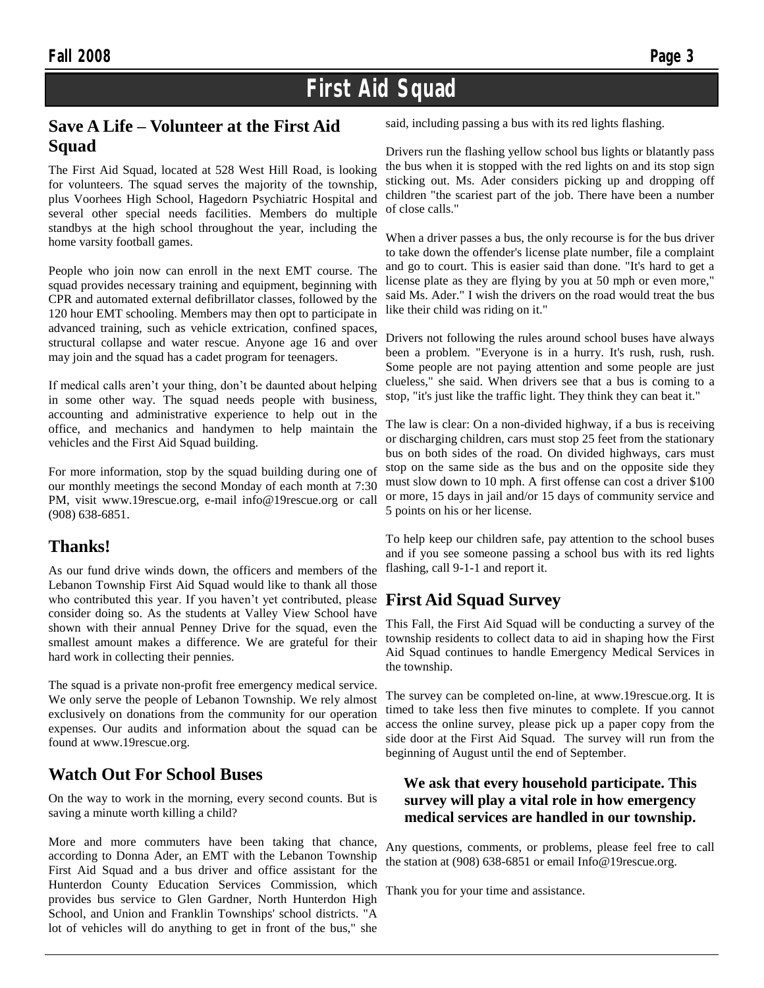### **First Aid Squad**

### **Save A Life – Volunteer at the First Aid Squad**

The First Aid Squad, located at 528 West Hill Road, is looking for volunteers. The squad serves the majority of the township, plus Voorhees High School, Hagedorn Psychiatric Hospital and several other special needs facilities. Members do multiple standbys at the high school throughout the year, including the home varsity football games.

People who join now can enroll in the next EMT course. The squad provides necessary training and equipment, beginning with CPR and automated external defibrillator classes, followed by the 120 hour EMT schooling. Members may then opt to participate in advanced training, such as vehicle extrication, confined spaces, structural collapse and water rescue. Anyone age 16 and over may join and the squad has a cadet program for teenagers.

If medical calls aren't your thing, don't be daunted about helping in some other way. The squad needs people with business, accounting and administrative experience to help out in the office, and mechanics and handymen to help maintain the vehicles and the First Aid Squad building.

For more information, stop by the squad building during one of our monthly meetings the second Monday of each month at 7:30 PM, visit www.19rescue.org, e-mail info@19rescue.org or call (908) 638-6851.

### **Thanks!**

As our fund drive winds down, the officers and members of the Lebanon Township First Aid Squad would like to thank all those who contributed this year. If you haven't yet contributed, please **First Aid Squad Survey** consider doing so. As the students at Valley View School have shown with their annual Penney Drive for the squad, even the smallest amount makes a difference. We are grateful for their hard work in collecting their pennies.

The squad is a private non-profit free emergency medical service. We only serve the people of Lebanon Township. We rely almost exclusively on donations from the community for our operation expenses. Our audits and information about the squad can be found at www.19rescue.org.

### **Watch Out For School Buses**

On the way to work in the morning, every second counts. But is saving a minute worth killing a child?

More and more commuters have been taking that chance, according to Donna Ader, an EMT with the Lebanon Township First Aid Squad and a bus driver and office assistant for the Hunterdon County Education Services Commission, which provides bus service to Glen Gardner, North Hunterdon High School, and Union and Franklin Townships' school districts. "A lot of vehicles will do anything to get in front of the bus," she

said, including passing a bus with its red lights flashing.

Drivers run the flashing yellow school bus lights or blatantly pass the bus when it is stopped with the red lights on and its stop sign sticking out. Ms. Ader considers picking up and dropping off children "the scariest part of the job. There have been a number of close calls."

When a driver passes a bus, the only recourse is for the bus driver to take down the offender's license plate number, file a complaint and go to court. This is easier said than done. "It's hard to get a license plate as they are flying by you at 50 mph or even more," said Ms. Ader." I wish the drivers on the road would treat the bus like their child was riding on it."

Drivers not following the rules around school buses have always been a problem. "Everyone is in a hurry. It's rush, rush, rush. Some people are not paying attention and some people are just clueless," she said. When drivers see that a bus is coming to a stop, "it's just like the traffic light. They think they can beat it."

The law is clear: On a non-divided highway, if a bus is receiving or discharging children, cars must stop 25 feet from the stationary bus on both sides of the road. On divided highways, cars must stop on the same side as the bus and on the opposite side they must slow down to 10 mph. A first offense can cost a driver \$100 or more, 15 days in jail and/or 15 days of community service and 5 points on his or her license.

To help keep our children safe, pay attention to the school buses and if you see someone passing a school bus with its red lights flashing, call 9-1-1 and report it.

This Fall, the First Aid Squad will be conducting a survey of the township residents to collect data to aid in shaping how the First Aid Squad continues to handle Emergency Medical Services in the township.

The survey can be completed on-line, at www.19rescue.org. It is timed to take less then five minutes to complete. If you cannot access the online survey, please pick up a paper copy from the side door at the First Aid Squad. The survey will run from the beginning of August until the end of September.

### **We ask that every household participate. This survey will play a vital role in how emergency medical services are handled in our township.**

Any questions, comments, or problems, please feel free to call the station at (908) 638-6851 or email Info@19rescue.org.

Thank you for your time and assistance.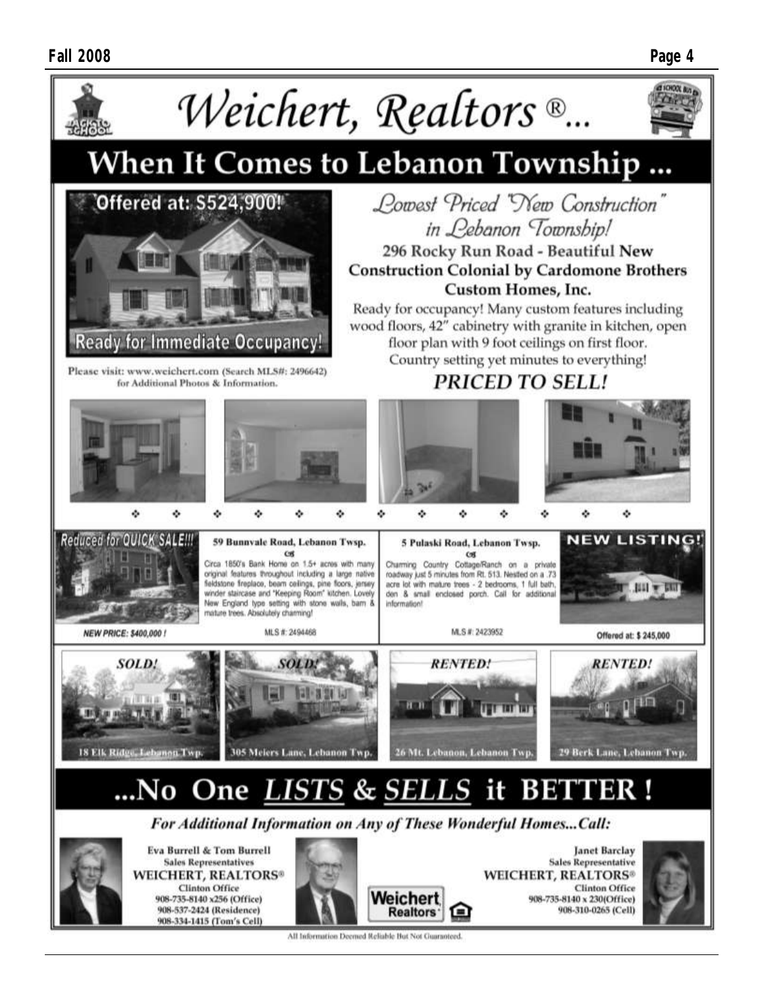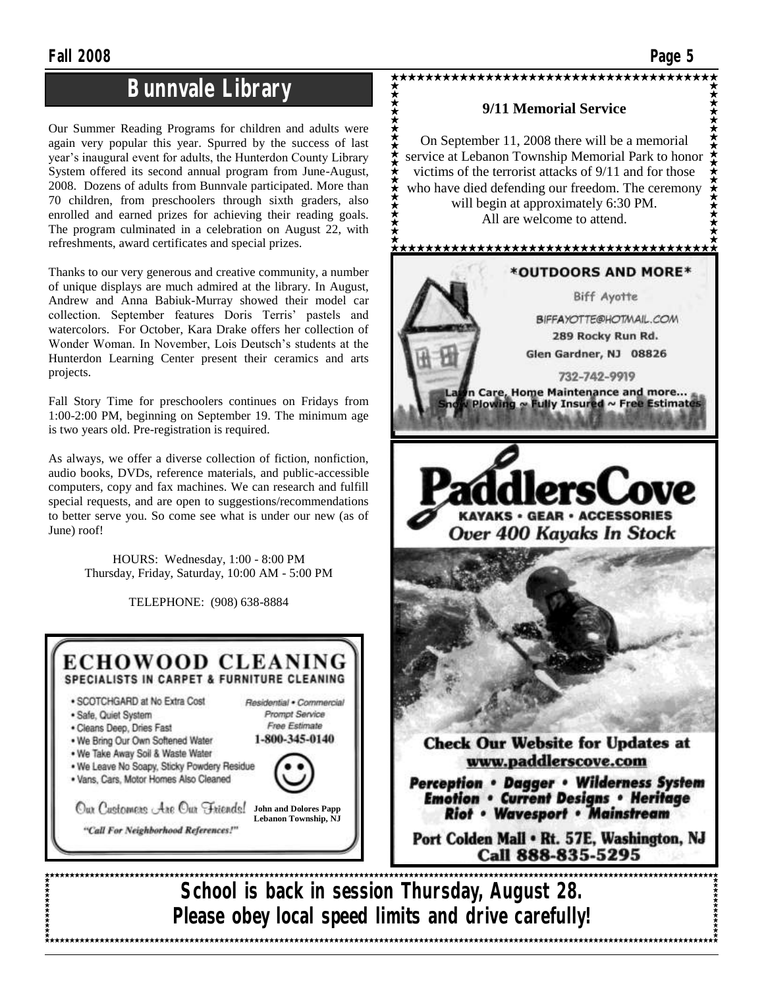**★★★★★★★★★★★★★★★** 

### **Bunnvale Library**

Our Summer Reading Programs for children and adults were again very popular this year. Spurred by the success of last year's inaugural event for adults, the Hunterdon County Library System offered its second annual program from June-August, 2008. Dozens of adults from Bunnvale participated. More than 70 children, from preschoolers through sixth graders, also enrolled and earned prizes for achieving their reading goals. The program culminated in a celebration on August 22, with refreshments, award certificates and special prizes.

Thanks to our very generous and creative community, a number of unique displays are much admired at the library. In August, Andrew and Anna Babiuk-Murray showed their model car collection. September features Doris Terris' pastels and watercolors. For October, Kara Drake offers her collection of Wonder Woman. In November, Lois Deutsch's students at the Hunterdon Learning Center present their ceramics and arts projects.

Fall Story Time for preschoolers continues on Fridays from 1:00-2:00 PM, beginning on September 19. The minimum age is two years old. Pre-registration is required.

As always, we offer a diverse collection of fiction, nonfiction, audio books, DVDs, reference materials, and public-accessible computers, copy and fax machines. We can research and fulfill special requests, and are open to suggestions/recommendations to better serve you. So come see what is under our new (as of June) roof!

> HOURS: Wednesday, 1:00 - 8:00 PM Thursday, Friday, Saturday, 10:00 AM - 5:00 PM

> > TELEPHONE: (908) 638-8884



- · SCOTCHGARD at No Extra Cost
- · Safe, Quiet System
- · Cleans Deep, Dries Fast
- . We Bring Our Own Softened Water
- . We Take Away Soil & Waste Water
- . We Leave No Soapy, Sticky Powdery Residue
- . Vans, Cars, Motor Homes Also Cleaned

Our Customers Are Our Friends! "Call For Neighborhood References!"

Residential . Commercial Prompt Service Free Fetimate

1-800-345-0140



**John and Dolores Papp Lebanon Township, NJ**

### **9/11 Memorial Service**

On September 11, 2008 there will be a memorial service at Lebanon Township Memorial Park to honor victims of the terrorist attacks of 9/11 and for those who have died defending our freedom. The ceremony will begin at approximately 6:30 PM. All are welcome to attend.



www.paddlerscove.com **Perception • Dagger • Wilderness System** 

**Emotion . Current Designs . Heritage** Riot • Wavesport • Mainstream

Port Colden Mall . Rt. 57E, Washington, NJ Call 888-835-5295

\*\*\*\*\*\*\*\*\*\*\*\*\*\*\*\*\*\*\*\*\*\*\*\*\*\*\*\*\*\*\*\* **School is back in session Thursday, August 28. Please obey local speed limits and drive carefully!**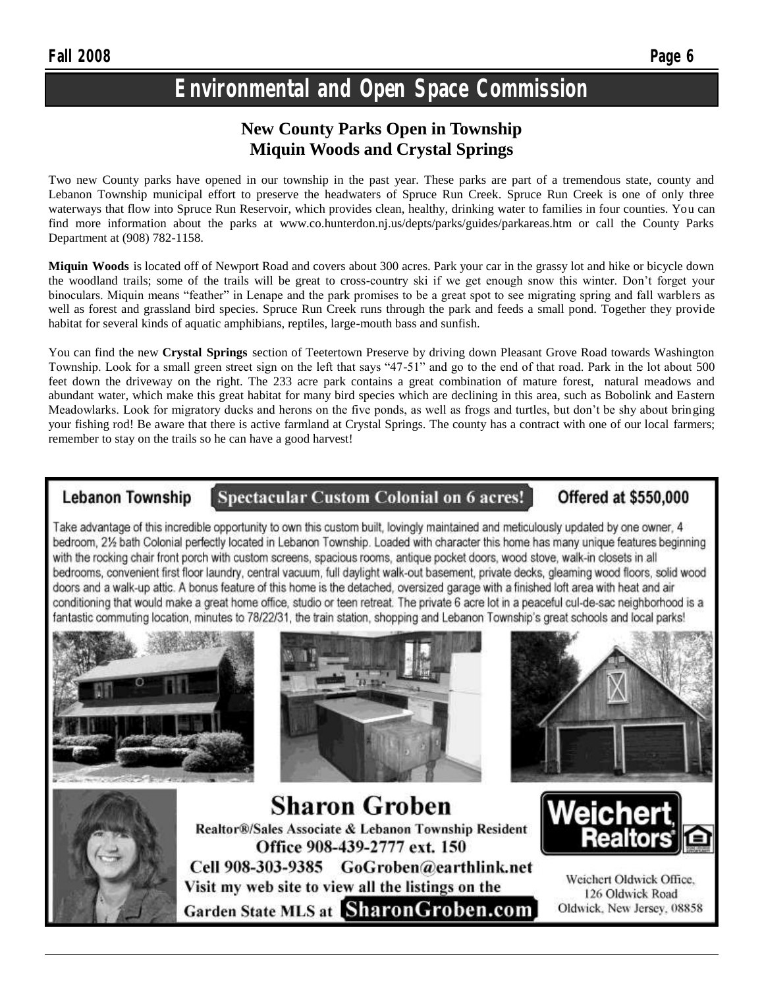### **New County Parks Open in Township Miquin Woods and Crystal Springs**

Two new County parks have opened in our township in the past year. These parks are part of a tremendous state, county and Lebanon Township municipal effort to preserve the headwaters of Spruce Run Creek. Spruce Run Creek is one of only three waterways that flow into Spruce Run Reservoir, which provides clean, healthy, drinking water to families in four counties. You can find more information about the parks at www.co.hunterdon.nj.us/depts/parks/guides/parkareas.htm or call the County Parks Department at (908) 782-1158.

**Miquin Woods** is located off of Newport Road and covers about 300 acres. Park your car in the grassy lot and hike or bicycle down the woodland trails; some of the trails will be great to cross-country ski if we get enough snow this winter. Don't forget your binoculars. Miquin means "feather" in Lenape and the park promises to be a great spot to see migrating spring and fall warblers as well as forest and grassland bird species. Spruce Run Creek runs through the park and feeds a small pond. Together they provide habitat for several kinds of aquatic amphibians, reptiles, large-mouth bass and sunfish.

You can find the new **Crystal Springs** section of Teetertown Preserve by driving down Pleasant Grove Road towards Washington Township. Look for a small green street sign on the left that says "47-51" and go to the end of that road. Park in the lot about 500 feet down the driveway on the right. The 233 acre park contains a great combination of mature forest, natural meadows and abundant water, which make this great habitat for many bird species which are declining in this area, such as Bobolink and Eastern Meadowlarks. Look for migratory ducks and herons on the five ponds, as well as frogs and turtles, but don't be shy about bringing your fishing rod! Be aware that there is active farmland at Crystal Springs. The county has a contract with one of our local farmers; remember to stay on the trails so he can have a good harvest!

#### **Lebanon Township Spectacular Custom Colonial on 6 acres!**

### **Offered at \$550,000**

Take advantage of this incredible opportunity to own this custom built, lovingly maintained and meticulously updated by one owner, 4 bedroom, 2½ bath Colonial perfectly located in Lebanon Township. Loaded with character this home has many unique features beginning with the rocking chair front porch with custom screens, spacious rooms, antique pocket doors, wood stove, walk-in closets in all bedrooms, convenient first floor laundry, central vacuum, full daylight walk-out basement, private decks, gleaming wood floors, solid wood doors and a walk-up attic. A bonus feature of this home is the detached, oversized garage with a finished loft area with heat and air conditioning that would make a great home office, studio or teen retreat. The private 6 acre lot in a peaceful cul-de-sac neighborhood is a fantastic commuting location, minutes to 78/22/31, the train station, shopping and Lebanon Township's great schools and local parks!







**Sharon Groben** Realtor®/Sales Associate & Lebanon Township Resident Office 908-439-2777 ext. 150 Cell 908-303-9385 GoGroben@earthlink.net Visit my web site to view all the listings on the

Garden State MLS at SharonGroben.com





Weichert Oldwick Office. 126 Oldwick Road Oldwick, New Jersey, 08858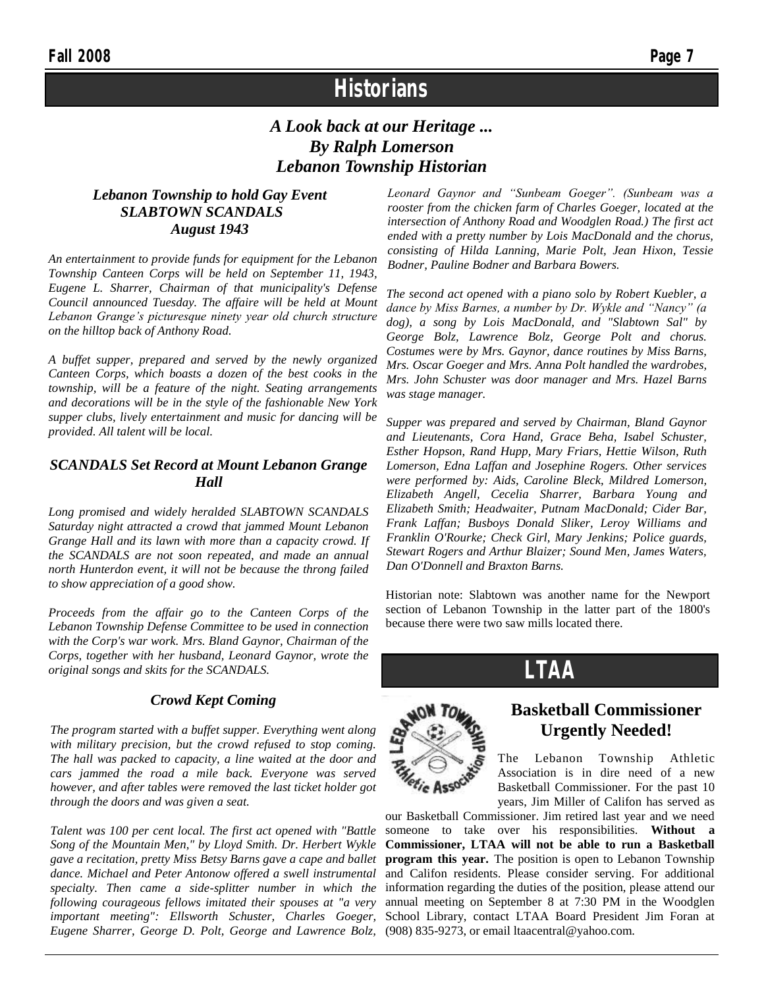### **Historians**

### *A Look back at our Heritage ... By Ralph Lomerson Lebanon Township Historian*

#### *Lebanon Township to hold Gay Event SLABTOWN SCANDALS August 1943*

*An entertainment to provide funds for equipment for the Lebanon Township Canteen Corps will be held on September 11, 1943, Eugene L. Sharrer, Chairman of that municipality's Defense Council announced Tuesday. The affaire will be held at Mount Lebanon Grange's picturesque ninety year old church structure on the hilltop back of Anthony Road.*

*A buffet supper, prepared and served by the newly organized Canteen Corps, which boasts a dozen of the best cooks in the township, will be a feature of the night. Seating arrangements and decorations will be in the style of the fashionable New York supper clubs, lively entertainment and music for dancing will be provided. All talent will be local.*

#### *SCANDALS Set Record at Mount Lebanon Grange Hall*

*Long promised and widely heralded SLABTOWN SCANDALS Saturday night attracted a crowd that jammed Mount Lebanon Grange Hall and its lawn with more than a capacity crowd. If the SCANDALS are not soon repeated, and made an annual north Hunterdon event, it will not be because the throng failed to show appreciation of a good show.*

*Proceeds from the affair go to the Canteen Corps of the Lebanon Township Defense Committee to be used in connection with the Corp's war work. Mrs. Bland Gaynor, Chairman of the Corps, together with her husband, Leonard Gaynor, wrote the original songs and skits for the SCANDALS.*

#### *Crowd Kept Coming*

*The program started with a buffet supper. Everything went along with military precision, but the crowd refused to stop coming. The hall was packed to capacity, a line waited at the door and cars jammed the road a mile back. Everyone was served however, and after tables were removed the last ticket holder got through the doors and was given a seat.*

*Talent was 100 per cent local. The first act opened with "Battle Song of the Mountain Men," by Lloyd Smith. Dr. Herbert Wykle gave a recitation, pretty Miss Betsy Barns gave a cape and ballet dance. Michael and Peter Antonow offered a swell instrumental specialty. Then came a side-splitter number in which the following courageous fellows imitated their spouses at "a very important meeting": Ellsworth Schuster, Charles Goeger, Eugene Sharrer, George D. Polt, George and Lawrence Bolz,* 

*Leonard Gaynor and "Sunbeam Goeger". (Sunbeam was a rooster from the chicken farm of Charles Goeger, located at the intersection of Anthony Road and Woodglen Road.) The first act ended with a pretty number by Lois MacDonald and the chorus, consisting of Hilda Lanning, Marie Polt, Jean Hixon, Tessie Bodner, Pauline Bodner and Barbara Bowers.*

*The second act opened with a piano solo by Robert Kuebler, a dance by Miss Barnes, a number by Dr. Wykle and "Nancy" (a dog), a song by Lois MacDonald, and "Slabtown Sal" by George Bolz, Lawrence Bolz, George Polt and chorus. Costumes were by Mrs. Gaynor, dance routines by Miss Barns, Mrs. Oscar Goeger and Mrs. Anna Polt handled the wardrobes, Mrs. John Schuster was door manager and Mrs. Hazel Barns was stage manager.*

*Supper was prepared and served by Chairman, Bland Gaynor and Lieutenants, Cora Hand, Grace Beha, Isabel Schuster, Esther Hopson, Rand Hupp, Mary Friars, Hettie Wilson, Ruth Lomerson, Edna Laffan and Josephine Rogers. Other services were performed by: Aids, Caroline Bleck, Mildred Lomerson, Elizabeth Angell, Cecelia Sharrer, Barbara Young and Elizabeth Smith; Headwaiter, Putnam MacDonald; Cider Bar, Frank Laffan; Busboys Donald Sliker, Leroy Williams and Franklin O'Rourke; Check Girl, Mary Jenkins; Police guards, Stewart Rogers and Arthur Blaizer; Sound Men, James Waters, Dan O'Donnell and Braxton Barns.*

Historian note: Slabtown was another name for the Newport section of Lebanon Township in the latter part of the 1800's because there were two saw mills located there.

### **LTAA**



### **Basketball Commissioner Urgently Needed!**

The Lebanon Township Athletic Association is in dire need of a new Basketball Commissioner. For the past 10 years, Jim Miller of Califon has served as

our Basketball Commissioner. Jim retired last year and we need someone to take over his responsibilities. **Without a Commissioner, LTAA will not be able to run a Basketball program this year.** The position is open to Lebanon Township and Califon residents. Please consider serving. For additional information regarding the duties of the position, please attend our annual meeting on September 8 at 7:30 PM in the Woodglen School Library, contact LTAA Board President Jim Foran at (908) 835-9273, or email ltaacentral@yahoo.com.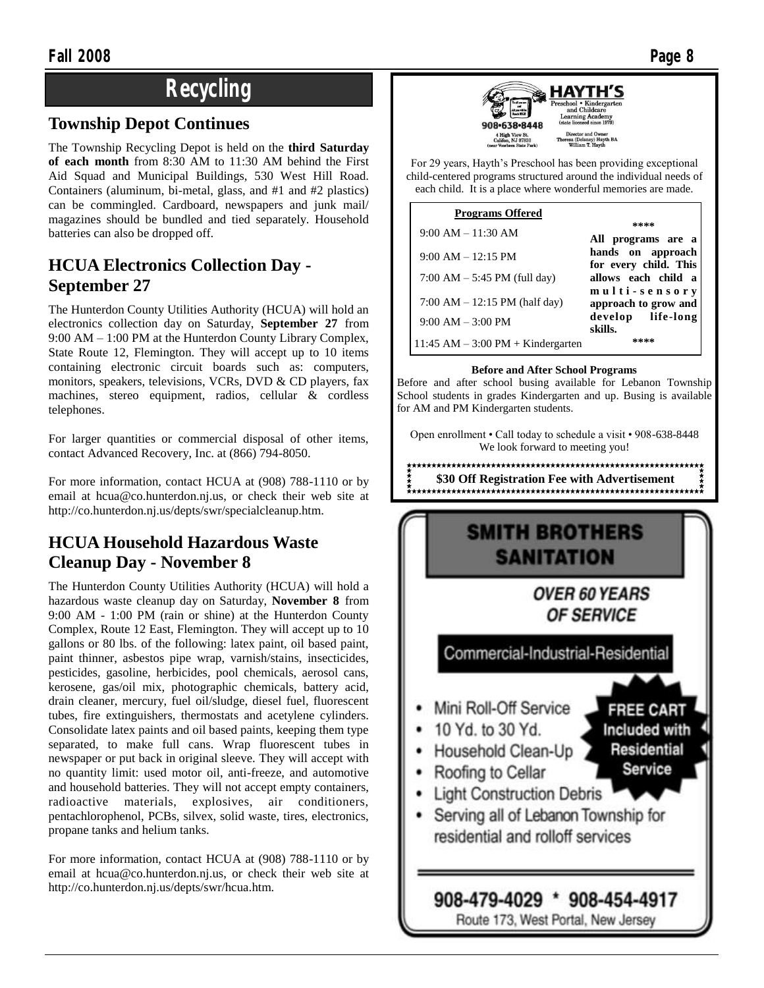### **Township Depot Continues**

The Township Recycling Depot is held on the **third Saturday of each month** from 8:30 AM to 11:30 AM behind the First Aid Squad and Municipal Buildings, 530 West Hill Road. Containers (aluminum, bi-metal, glass, and #1 and #2 plastics) can be commingled. Cardboard, newspapers and junk mail/ magazines should be bundled and tied separately. Household batteries can also be dropped off.

### **HCUA Electronics Collection Day - September 27**

The Hunterdon County Utilities Authority (HCUA) will hold an electronics collection day on Saturday, **September 27** from 9:00 AM – 1:00 PM at the Hunterdon County Library Complex, State Route 12, Flemington. They will accept up to 10 items containing electronic circuit boards such as: computers, monitors, speakers, televisions, VCRs, DVD & CD players, fax machines, stereo equipment, radios, cellular & cordless telephones.

For larger quantities or commercial disposal of other items, contact Advanced Recovery, Inc. at (866) 794-8050.

For more information, contact HCUA at (908) 788-1110 or by email at hcua@co.hunterdon.nj.us, or check their web site at http://co.hunterdon.nj.us/depts/swr/specialcleanup.htm.

### **HCUA Household Hazardous Waste Cleanup Day - November 8**

The Hunterdon County Utilities Authority (HCUA) will hold a hazardous waste cleanup day on Saturday, **November 8** from 9:00 AM - 1:00 PM (rain or shine) at the Hunterdon County Complex, Route 12 East, Flemington. They will accept up to 10 gallons or 80 lbs. of the following: latex paint, oil based paint, paint thinner, asbestos pipe wrap, varnish/stains, insecticides, pesticides, gasoline, herbicides, pool chemicals, aerosol cans, kerosene, gas/oil mix, photographic chemicals, battery acid, drain cleaner, mercury, fuel oil/sludge, diesel fuel, fluorescent tubes, fire extinguishers, thermostats and acetylene cylinders. Consolidate latex paints and oil based paints, keeping them type separated, to make full cans. Wrap fluorescent tubes in newspaper or put back in original sleeve. They will accept with no quantity limit: used motor oil, anti-freeze, and automotive and household batteries. They will not accept empty containers, radioactive materials, explosives, air conditioners, pentachlorophenol, PCBs, silvex, solid waste, tires, electronics, propane tanks and helium tanks.

For more information, contact HCUA at (908) 788-1110 or by email at hcua@co.hunterdon.nj.us, or check their web site at http://co.hunterdon.nj.us/depts/swr/hcua.htm.



For 29 years, Hayth's Preschool has been providing exceptional child-centered programs structured around the individual needs of each child. It is a place where wonderful memories are made.

#### **Programs Offered**

| $9:00 AM - 11:30 AM$                    | All programs are a                         |  |  |
|-----------------------------------------|--------------------------------------------|--|--|
| $9:00 AM - 12:15 PM$                    | hands on approach<br>for every child. This |  |  |
| 7:00 AM $-$ 5:45 PM (full day)          | allows each child a                        |  |  |
| 7:00 AM $- 12:15$ PM (half day)         | multi-sensory<br>approach to grow and      |  |  |
| $9:00 AM - 3:00 PM$                     | develop life-long<br>skills.               |  |  |
| $11:45$ AM $- 3:00$ PM $+$ Kindergarten |                                            |  |  |

#### **Before and After School Programs**

Before and after school busing available for Lebanon Township School students in grades Kindergarten and up. Busing is available for AM and PM Kindergarten students.

Open enrollment • Call today to schedule a visit • 908-638-8448 We look forward to meeting you!

**\$30 Off Registration Fee with Advertisement**

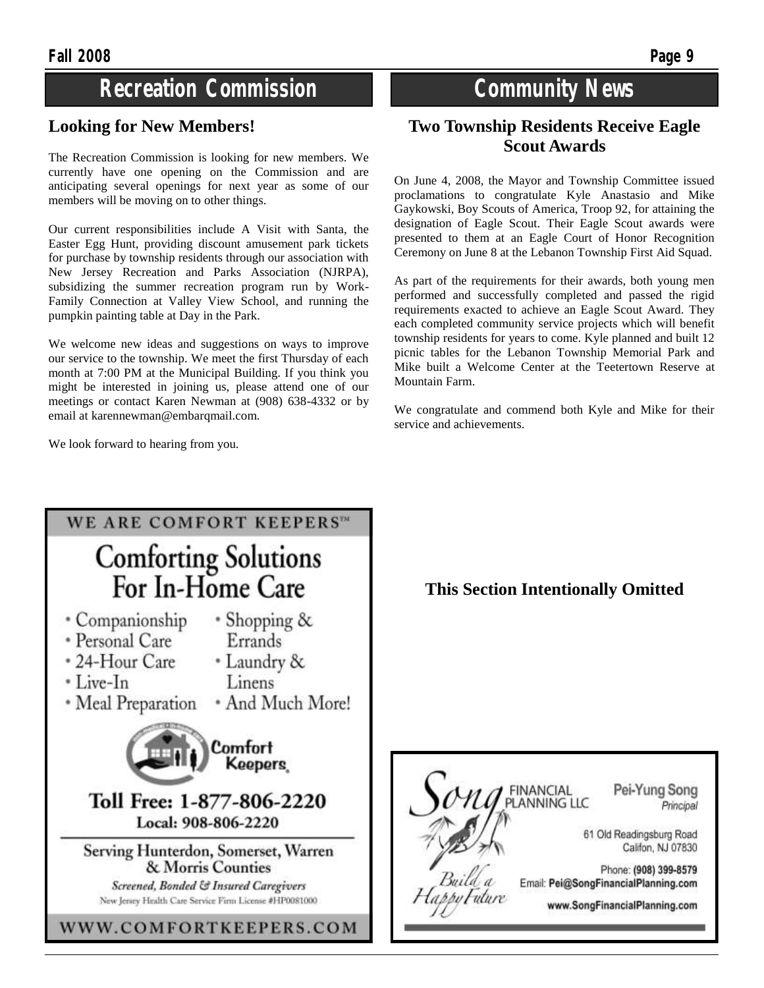### **Recreation Commission**

### **Looking for New Members!**

The Recreation Commission is looking for new members. We currently have one opening on the Commission and are anticipating several openings for next year as some of our members will be moving on to other things.

Our current responsibilities include A Visit with Santa, the Easter Egg Hunt, providing discount amusement park tickets for purchase by township residents through our association with New Jersey Recreation and Parks Association (NJRPA), subsidizing the summer recreation program run by Work-Family Connection at Valley View School, and running the pumpkin painting table at Day in the Park.

We welcome new ideas and suggestions on ways to improve our service to the township. We meet the first Thursday of each month at 7:00 PM at the Municipal Building. If you think you might be interested in joining us, please attend one of our meetings or contact Karen Newman at (908) 638-4332 or by email at karennewman@embarqmail.com.

We look forward to hearing from you.

### **Community News**

### **Two Township Residents Receive Eagle Scout Awards**

On June 4, 2008, the Mayor and Township Committee issued proclamations to congratulate Kyle Anastasio and Mike Gaykowski, Boy Scouts of America, Troop 92, for attaining the designation of Eagle Scout. Their Eagle Scout awards were presented to them at an Eagle Court of Honor Recognition Ceremony on June 8 at the Lebanon Township First Aid Squad.

As part of the requirements for their awards, both young men performed and successfully completed and passed the rigid requirements exacted to achieve an Eagle Scout Award. They each completed community service projects which will benefit township residents for years to come. Kyle planned and built 12 picnic tables for the Lebanon Township Memorial Park and Mike built a Welcome Center at the Teetertown Reserve at Mountain Farm.

We congratulate and commend both Kyle and Mike for their service and achievements.

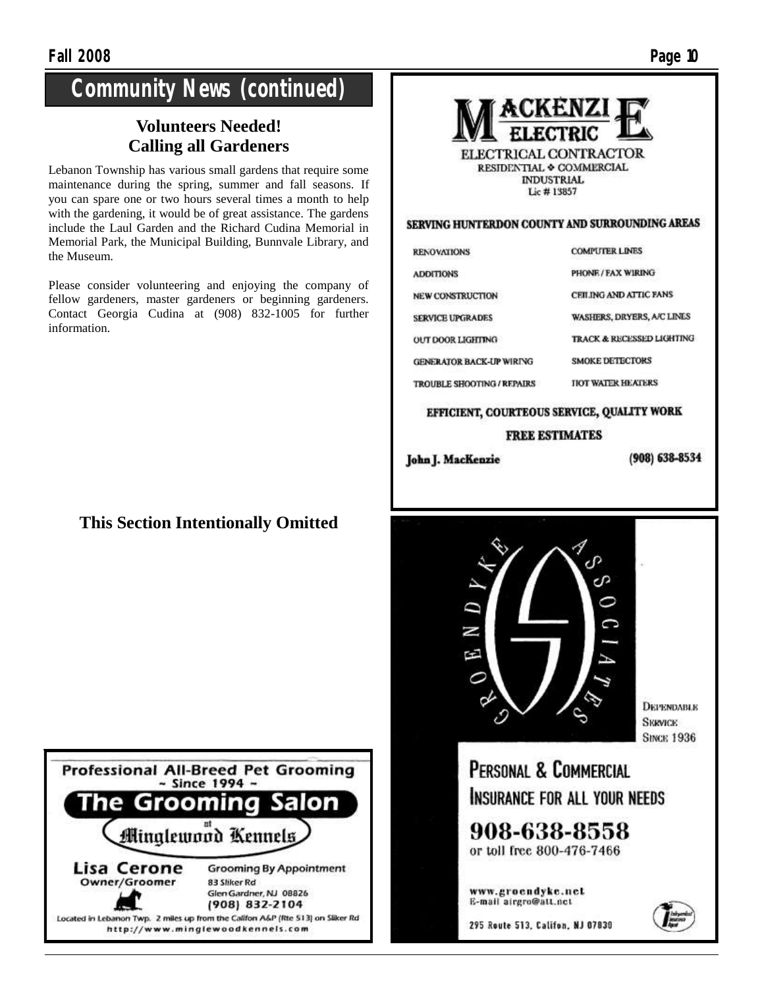### **Community News (continued)**

### **Volunteers Needed! Calling all Gardeners**

Lebanon Township has various small gardens that require some maintenance during the spring, summer and fall seasons. If you can spare one or two hours several times a month to help with the gardening, it would be of great assistance. The gardens include the Laul Garden and the Richard Cudina Memorial in Memorial Park, the Municipal Building, Bunnvale Library, and the Museum.

Please consider volunteering and enjoying the company of fellow gardeners, master gardeners or beginning gardeners. Contact Georgia Cudina at (908) 832-1005 for further information.

### **This Section Intentionally Omitted**



#### SERVING HUNTERDON COUNTY AND SURROUNDING AREAS

| <b>RENOVATIONS</b>              | <b>COMPUTER LINES</b>                |
|---------------------------------|--------------------------------------|
| <b>ADDITIONS</b>                | PHONE / FAX WIRING                   |
| <b>NEW CONSTRUCTION</b>         | CEILING AND ATTIC FANS               |
| <b>SERVICE UPGRADES</b>         | WASHERS, DRYERS, A/C LINES           |
| <b>OUT DOOR LIGHTING</b>        | <b>TRACK &amp; RECESSED LIGHTING</b> |
| <b>GENERATOR BACK-UP WIRING</b> | <b>SMOKE DETECTORS</b>               |
| TROUBLE SHOOTING / REPAIRS      | <b>HOT WATER HEATERS</b>             |
|                                 |                                      |

### EFFICIENT, COURTEOUS SERVICE, QUALITY WORK

#### **FREE ESTIMATES**

John J. MacKenzie

 $(908) 638 - 8534$ 





*<u>DEPENDABLE</u>* **SKRVICK SINCE 1936** 

INSURANCE FOR ALL YOUR NEEDS

908-638-8558 or toll free 800-476-7466

www.groendyke.net E-mail airgro@att.nct

295 Route 513, Califon, NJ 07839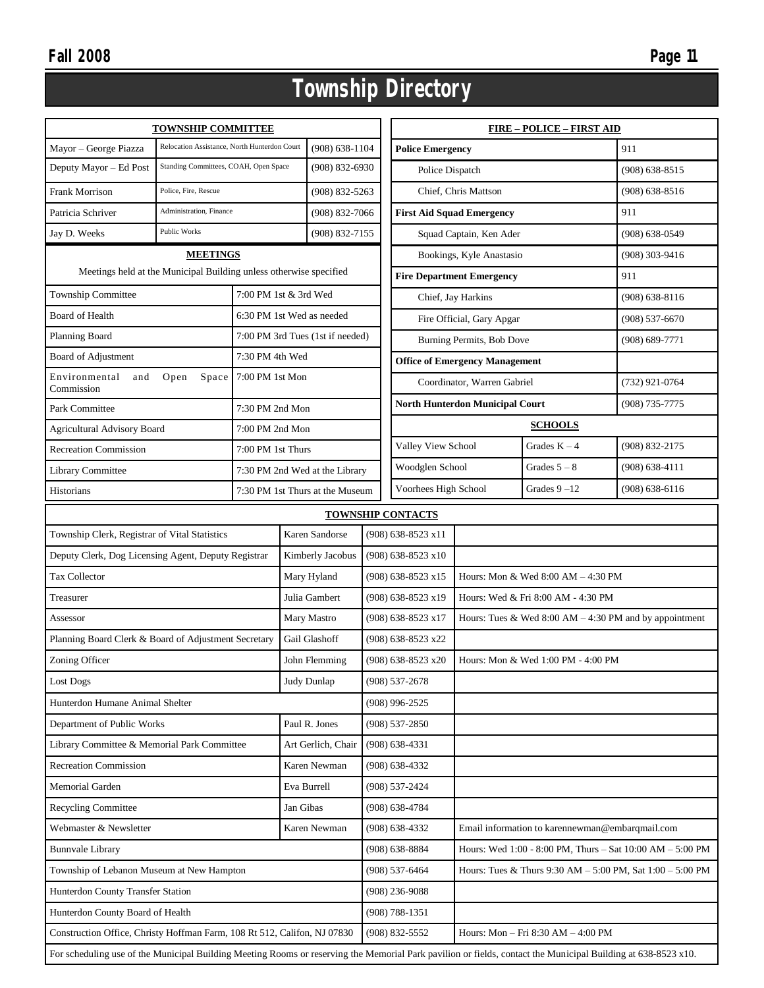## **Township Directory**

| <b>TOWNSHIP COMMITTEE</b>                                                                                                                                     |                                              |                 |                       |                                                                                 | <b>FIRE – POLICE – FIRST AID</b> |                                                          |                                                           |                    |                    |
|---------------------------------------------------------------------------------------------------------------------------------------------------------------|----------------------------------------------|-----------------|-----------------------|---------------------------------------------------------------------------------|----------------------------------|----------------------------------------------------------|-----------------------------------------------------------|--------------------|--------------------|
| Mayor - George Piazza                                                                                                                                         | Relocation Assistance, North Hunterdon Court |                 |                       | $(908) 638 - 1104$<br><b>Police Emergency</b>                                   |                                  |                                                          |                                                           | 911                |                    |
| Deputy Mayor - Ed Post                                                                                                                                        | Standing Committees, COAH, Open Space        |                 |                       | $(908) 832 - 6930$                                                              |                                  | Police Dispatch                                          |                                                           |                    | $(908) 638 - 8515$ |
| Frank Morrison                                                                                                                                                | Police, Fire, Rescue                         |                 |                       | $(908) 832 - 5263$                                                              |                                  | Chief, Chris Mattson                                     |                                                           |                    | $(908) 638 - 8516$ |
| Patricia Schriver                                                                                                                                             | Administration, Finance                      |                 |                       | $(908) 832 - 7066$                                                              |                                  | <b>First Aid Squad Emergency</b>                         |                                                           | 911                |                    |
| Jay D. Weeks                                                                                                                                                  | <b>Public Works</b>                          |                 |                       | (908) 832-7155                                                                  |                                  | Squad Captain, Ken Ader                                  |                                                           | $(908) 638 - 0549$ |                    |
| <b>MEETINGS</b>                                                                                                                                               |                                              |                 |                       |                                                                                 |                                  | Bookings, Kyle Anastasio                                 |                                                           |                    | $(908)$ 303-9416   |
| Meetings held at the Municipal Building unless otherwise specified                                                                                            |                                              |                 |                       |                                                                                 | <b>Fire Department Emergency</b> |                                                          |                                                           |                    | 911                |
| <b>Township Committee</b>                                                                                                                                     |                                              |                 | 7:00 PM 1st & 3rd Wed |                                                                                 |                                  | Chief, Jay Harkins                                       |                                                           |                    | $(908) 638 - 8116$ |
| Board of Health                                                                                                                                               |                                              |                 |                       | 6:30 PM 1st Wed as needed                                                       |                                  | Fire Official, Gary Apgar                                |                                                           |                    | $(908) 537 - 6670$ |
| Planning Board                                                                                                                                                |                                              |                 |                       | 7:00 PM 3rd Tues (1st if needed)                                                |                                  | Burning Permits, Bob Dove                                |                                                           | $(908) 689 - 7771$ |                    |
| Board of Adjustment                                                                                                                                           |                                              | 7:30 PM 4th Wed |                       |                                                                                 |                                  | <b>Office of Emergency Management</b>                    |                                                           |                    |                    |
| Environmental<br>and<br>Commission                                                                                                                            | Open<br>Space                                | 7:00 PM 1st Mon |                       |                                                                                 |                                  |                                                          | Coordinator, Warren Gabriel                               |                    | $(732)$ 921-0764   |
| Park Committee                                                                                                                                                |                                              | 7:30 PM 2nd Mon |                       |                                                                                 |                                  |                                                          | <b>North Hunterdon Municipal Court</b>                    |                    | (908) 735-7775     |
| <b>Agricultural Advisory Board</b>                                                                                                                            |                                              | 7:00 PM 2nd Mon |                       |                                                                                 |                                  |                                                          |                                                           | <b>SCHOOLS</b>     |                    |
| <b>Recreation Commission</b><br>7:00 PM 1st Thurs                                                                                                             |                                              |                 |                       |                                                                                 |                                  | Valley View School                                       |                                                           | Grades $K - 4$     | (908) 832-2175     |
| Library Committee                                                                                                                                             |                                              |                 |                       | 7:30 PM 2nd Wed at the Library                                                  |                                  | Woodglen School                                          |                                                           | Grades $5 - 8$     | $(908) 638 - 4111$ |
| Historians                                                                                                                                                    |                                              |                 |                       | 7:30 PM 1st Thurs at the Museum                                                 |                                  | Voorhees High School                                     |                                                           | Grades $9 - 12$    | $(908) 638 - 6116$ |
| <b>TOWNSHIP CONTACTS</b>                                                                                                                                      |                                              |                 |                       |                                                                                 |                                  |                                                          |                                                           |                    |                    |
| Township Clerk, Registrar of Vital Statistics<br>Karen Sandorse                                                                                               |                                              |                 |                       | (908) 638-8523 x11                                                              |                                  |                                                          |                                                           |                    |                    |
| Deputy Clerk, Dog Licensing Agent, Deputy Registrar<br>Kimberly Jacobus                                                                                       |                                              |                 |                       |                                                                                 | $(908)$ 638-8523 x10             |                                                          |                                                           |                    |                    |
| <b>Tax Collector</b>                                                                                                                                          |                                              |                 | Mary Hyland           |                                                                                 |                                  | (908) 638-8523 x15<br>Hours: Mon & Wed 8:00 AM - 4:30 PM |                                                           |                    |                    |
| Treasurer                                                                                                                                                     |                                              | Julia Gambert   |                       | (908) 638-8523 x19                                                              |                                  | Hours: Wed & Fri 8:00 AM - 4:30 PM                       |                                                           |                    |                    |
| Assessor                                                                                                                                                      |                                              | Mary Mastro     |                       | (908) 638-8523 x17                                                              |                                  | Hours: Tues & Wed $8:00 AM - 4:30 PM$ and by appointment |                                                           |                    |                    |
| Planning Board Clerk & Board of Adjustment Secretary                                                                                                          |                                              | Gail Glashoff   |                       | (908) 638-8523 x22                                                              |                                  |                                                          |                                                           |                    |                    |
| Zoning Officer                                                                                                                                                |                                              |                 | John Flemming         | (908) 638-8523 x20                                                              |                                  | Hours: Mon & Wed 1:00 PM - 4:00 PM                       |                                                           |                    |                    |
| Lost Dogs                                                                                                                                                     |                                              |                 | Judy Dunlap           |                                                                                 | $(908) 537 - 2678$               |                                                          |                                                           |                    |                    |
| Hunterdon Humane Animal Shelter                                                                                                                               |                                              |                 |                       |                                                                                 | (908) 996-2525                   |                                                          |                                                           |                    |                    |
| Department of Public Works                                                                                                                                    |                                              |                 | Paul R. Jones         |                                                                                 |                                  | $(908) 537 - 2850$                                       |                                                           |                    |                    |
| Library Committee & Memorial Park Committee                                                                                                                   |                                              |                 |                       | Art Gerlich, Chair                                                              | $(908)$ 638-4331                 |                                                          |                                                           |                    |                    |
| Recreation Commission                                                                                                                                         |                                              |                 |                       | Karen Newman                                                                    | $(908) 638 - 4332$               |                                                          |                                                           |                    |                    |
| Memorial Garden                                                                                                                                               |                                              |                 | Eva Burrell           |                                                                                 | (908) 537-2424                   |                                                          |                                                           |                    |                    |
| Recycling Committee                                                                                                                                           |                                              |                 | Jan Gibas             |                                                                                 | $(908) 638 - 4784$               |                                                          |                                                           |                    |                    |
| Webmaster & Newsletter                                                                                                                                        |                                              |                 |                       | Karen Newman                                                                    | $(908) 638 - 4332$               |                                                          | Email information to karennewman@embarqmail.com           |                    |                    |
| <b>Bunnvale Library</b>                                                                                                                                       |                                              |                 |                       | $(908) 638 - 8884$<br>Hours: Wed 1:00 - 8:00 PM, Thurs - Sat 10:00 AM - 5:00 PM |                                  |                                                          |                                                           |                    |                    |
| Township of Lebanon Museum at New Hampton                                                                                                                     |                                              |                 |                       | $(908) 537 - 6464$                                                              |                                  |                                                          | Hours: Tues & Thurs 9:30 AM - 5:00 PM, Sat 1:00 - 5:00 PM |                    |                    |
| Hunterdon County Transfer Station                                                                                                                             |                                              |                 |                       | $(908)$ 236-9088                                                                |                                  |                                                          |                                                           |                    |                    |
| Hunterdon County Board of Health                                                                                                                              |                                              |                 |                       | $(908) 788 - 1351$                                                              |                                  |                                                          |                                                           |                    |                    |
| Construction Office, Christy Hoffman Farm, 108 Rt 512, Califon, NJ 07830                                                                                      |                                              |                 |                       | (908) 832-5552                                                                  |                                  | Hours: Mon - Fri 8:30 AM - 4:00 PM                       |                                                           |                    |                    |
| For scheduling use of the Municipal Building Meeting Rooms or reserving the Memorial Park pavilion or fields, contact the Municipal Building at 638-8523 x10. |                                              |                 |                       |                                                                                 |                                  |                                                          |                                                           |                    |                    |